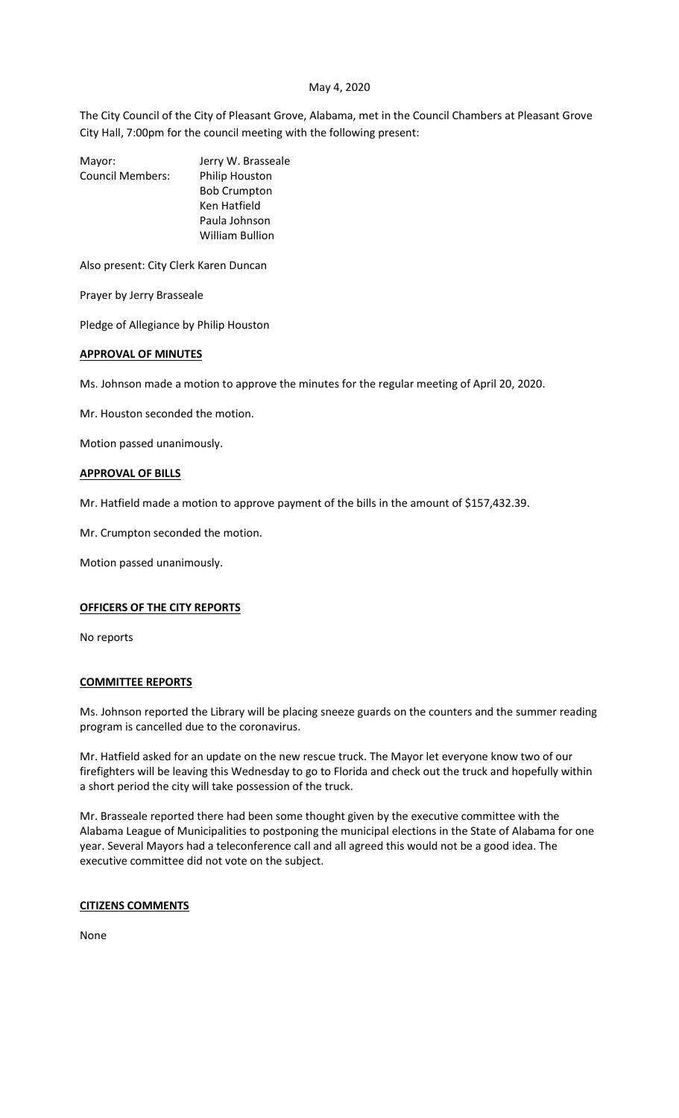### May 4, 2020

The City Council of the City of Pleasant Grove, Alabama, met in the Council Chambers at Pleasant Grove City Hall, 7:00pm for the council meeting with the following present:

| Mayor:                  | Jerry W. Brasseale     |
|-------------------------|------------------------|
| <b>Council Members:</b> | Philip Houston         |
|                         | <b>Bob Crumpton</b>    |
|                         | Ken Hatfield           |
|                         | Paula Johnson          |
|                         | <b>William Bullion</b> |
|                         |                        |

Also present: City Clerk Karen Duncan

Prayer by Jerry Brasseale

Pledge of Allegiance by Philip Houston

### **APPROVAL OF MINUTES**

Ms. Johnson made a motion to approve the minutes for the regular meeting of April 20, 2020.

Mr. Houston seconded the motion.

Motion passed unanimously.

### **APPROVAL OF BILLS**

Mr. Hatfield made a motion to approve payment of the bills in the amount of \$157,432.39.

Mr. Crumpton seconded the motion.

Motion passed unanimously.

# **OFFICERS OF THE CITY REPORTS**

No reports

## **COMMITTEE REPORTS**

Ms. Johnson reported the Library will be placing sneeze guards on the counters and the summer reading program is cancelled due to the coronavirus.

Mr. Hatfield asked for an update on the new rescue truck. The Mayor let everyone know two of our firefighters will be leaving this Wednesday to go to Florida and check out the truck and hopefully within a short period the city will take possession of the truck.

Mr. Brasseale reported there had been some thought given by the executive committee with the Alabama League of Municipalities to postponing the municipal elections in the State of Alabama for one year. Several Mayors had a teleconference call and all agreed this would not be a good idea. The executive committee did not vote on the subject.

### **CITIZENS COMMENTS**

None